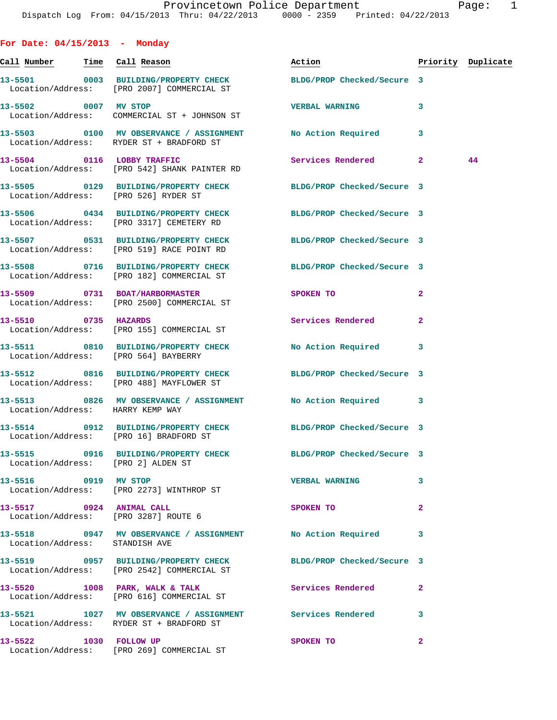**For Date: 04/15/2013 - Monday Call Number Time Call Reason Action Priority Duplicate 13-5501 0003 BUILDING/PROPERTY CHECK BLDG/PROP Checked/Secure 3**  Location/Address: [PRO 2007] COMMERCIAL ST **13-5502 0007 MV STOP VERBAL WARNING 3**  Location/Address: COMMERCIAL ST + JOHNSON ST **13-5503 0100 MV OBSERVANCE / ASSIGNMENT No Action Required 3**  Location/Address: RYDER ST + BRADFORD ST **13-5504 0116 LOBBY TRAFFIC Services Rendered 2 44**  Location/Address: [PRO 542] SHANK PAINTER RD **13-5505 0129 BUILDING/PROPERTY CHECK BLDG/PROP Checked/Secure 3**  Location/Address: [PRO 526] RYDER ST **13-5506 0434 BUILDING/PROPERTY CHECK BLDG/PROP Checked/Secure 3**  Location/Address: [PRO 3317] CEMETERY RD **13-5507 0531 BUILDING/PROPERTY CHECK BLDG/PROP Checked/Secure 3**  Location/Address: [PRO 519] RACE POINT RD **13-5508 0716 BUILDING/PROPERTY CHECK BLDG/PROP Checked/Secure 3**  Location/Address: [PRO 182] COMMERCIAL ST 13-5509 0731 BOAT/HARBORMASTER SPOKEN TO 2 Location/Address: [PRO 2500] COMMERCIAL ST **13-5510 0735 HAZARDS Services Rendered 2**  Location/Address: [PRO 155] COMMERCIAL ST **13-5511 0810 BUILDING/PROPERTY CHECK No Action Required 3**  Location/Address: [PRO 564] BAYBERRY **13-5512 0816 BUILDING/PROPERTY CHECK BLDG/PROP Checked/Secure 3**  Location/Address: [PRO 488] MAYFLOWER ST **13-5513 0826 MV OBSERVANCE / ASSIGNMENT No Action Required 3**  Location/Address: HARRY KEMP WAY **13-5514 0912 BUILDING/PROPERTY CHECK BLDG/PROP Checked/Secure 3**  Location/Address: [PRO 16] BRADFORD ST **13-5515 0916 BUILDING/PROPERTY CHECK BLDG/PROP Checked/Secure 3**  Location/Address: [PRO 2] ALDEN ST **13-5516 0919 MV STOP VERBAL WARNING 3**  Location/Address: [PRO 2273] WINTHROP ST **13-5517 0924 ANIMAL CALL SPOKEN TO 2**  Location/Address: [PRO 3287] ROUTE 6 **13-5518 0947 MV OBSERVANCE / ASSIGNMENT No Action Required 3**  Location/Address: STANDISH AVE **13-5519 0957 BUILDING/PROPERTY CHECK BLDG/PROP Checked/Secure 3**  Location/Address: [PRO 2542] COMMERCIAL ST 13-5520 1008 PARK, WALK & TALK **Services Rendered** 2 Location/Address: [PRO 616] COMMERCIAL ST **13-5521 1027 MV OBSERVANCE / ASSIGNMENT Services Rendered 3**  Location/Address: RYDER ST + BRADFORD ST

**13-5522 1030 FOLLOW UP SPOKEN TO 2**  Location/Address: [PRO 269] COMMERCIAL ST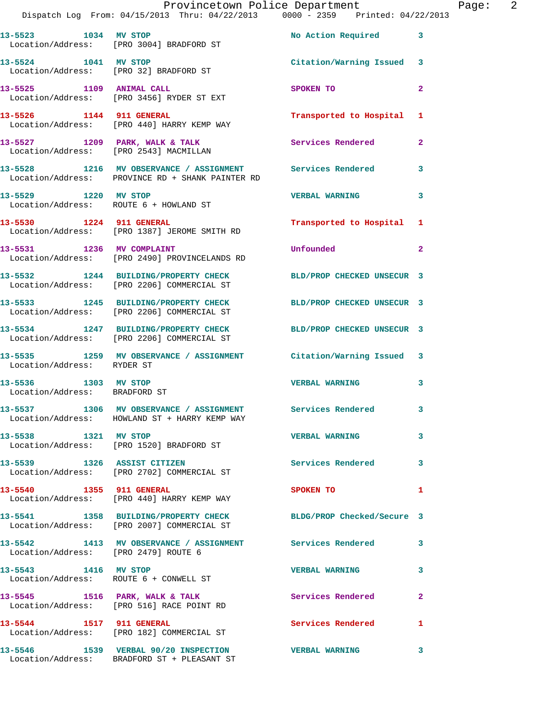|                                                       | Provincetown Police Department The Page: 2<br>Dispatch Log From: 04/15/2013 Thru: 04/22/2013 0000 - 2359 Printed: 04/22/2013 |                           |                |
|-------------------------------------------------------|------------------------------------------------------------------------------------------------------------------------------|---------------------------|----------------|
|                                                       | 13-5523 1034 MV STOP<br>Location/Address: [PRO 3004] BRADFORD ST                                                             | No Action Required 3      |                |
| 13-5524 1041 MV STOP                                  | Location/Address: [PRO 32] BRADFORD ST                                                                                       | Citation/Warning Issued 3 |                |
|                                                       | 13-5525 1109 ANIMAL CALL<br>Location/Address: [PRO 3456] RYDER ST EXT                                                        | SPOKEN TO                 | $\mathbf{2}$   |
|                                                       | 13-5526 1144 911 GENERAL Transported to Hospital 1<br>Location/Address: [PRO 440] HARRY KEMP WAY                             |                           |                |
|                                                       | 13-5527 1209 PARK, WALK & TALK 1999 PARK, WALK 2014 External Services Rendered 13-5527 1209 PARK, WALK & TALK                |                           | $\mathbf{2}$   |
|                                                       | 13-5528 1216 MV OBSERVANCE / ASSIGNMENT Services Rendered<br>Location/Address: PROVINCE RD + SHANK PAINTER RD                |                           | 3              |
|                                                       | 13-5529 1220 MV STOP<br>Location/Address: ROUTE 6 + HOWLAND ST                                                               | <b>VERBAL WARNING</b>     | 3              |
|                                                       | 13-5530 1224 911 GENERAL<br>Location/Address: [PRO 1387] JEROME SMITH RD                                                     | Transported to Hospital 1 |                |
|                                                       | 13-5531 1236 MV COMPLAINT<br>Location/Address: [PRO 2490] PROVINCELANDS RD                                                   | Unfounded                 | $\overline{2}$ |
|                                                       | 13-5532 1244 BUILDING/PROPERTY CHECK BLD/PROP CHECKED UNSECUR 3<br>Location/Address: [PRO 2206] COMMERCIAL ST                |                           |                |
|                                                       | 13-5533 1245 BUILDING/PROPERTY CHECK BLD/PROP CHECKED UNSECUR 3<br>Location/Address: [PRO 2206] COMMERCIAL ST                |                           |                |
|                                                       | 13-5534 1247 BUILDING/PROPERTY CHECK BLD/PROP CHECKED UNSECUR 3<br>Location/Address: [PRO 2206] COMMERCIAL ST                |                           |                |
| Location/Address: RYDER ST                            | 13-5535 1259 MV OBSERVANCE / ASSIGNMENT Citation/Warning Issued 3                                                            |                           |                |
| 13-5536 1303 MV STOP<br>Location/Address: BRADFORD ST |                                                                                                                              | <b>VERBAL WARNING</b>     | 3              |
|                                                       | 13-5537 1306 MV OBSERVANCE / ASSIGNMENT<br>Location/Address: HOWLAND ST + HARRY KEMP WAY                                     | <b>Services Rendered</b>  |                |
| 13-5538 1321 MV STOP                                  | Location/Address: [PRO 1520] BRADFORD ST                                                                                     | <b>VERBAL WARNING</b>     | 3              |
|                                                       | 13-5539 1326 ASSIST CITIZEN<br>Location/Address: [PRO 2702] COMMERCIAL ST                                                    | Services Rendered 3       |                |
|                                                       | 13-5540 1355 911 GENERAL<br>Location/Address: [PRO 440] HARRY KEMP WAY                                                       | SPOKEN TO                 | 1              |
|                                                       | 13-5541 1358 BUILDING/PROPERTY CHECK BLDG/PROP Checked/Secure 3<br>Location/Address: [PRO 2007] COMMERCIAL ST                |                           |                |
| Location/Address: [PRO 2479] ROUTE 6                  | 13-5542 1413 MV OBSERVANCE / ASSIGNMENT Services Rendered                                                                    |                           | 3              |
| 13-5543 1416 MV STOP                                  | Location/Address: ROUTE 6 + CONWELL ST                                                                                       | <b>VERBAL WARNING</b>     | 3              |
|                                                       | 13-5545 1516 PARK, WALK & TALK 1988 Services Rendered<br>Location/Address: [PRO 516] RACE POINT RD                           |                           | 2              |
| 13-5544 1517 911 GENERAL                              | Location/Address: [PRO 182] COMMERCIAL ST                                                                                    | Services Rendered         | 1              |
|                                                       |                                                                                                                              |                           | 3              |

Location/Address: BRADFORD ST + PLEASANT ST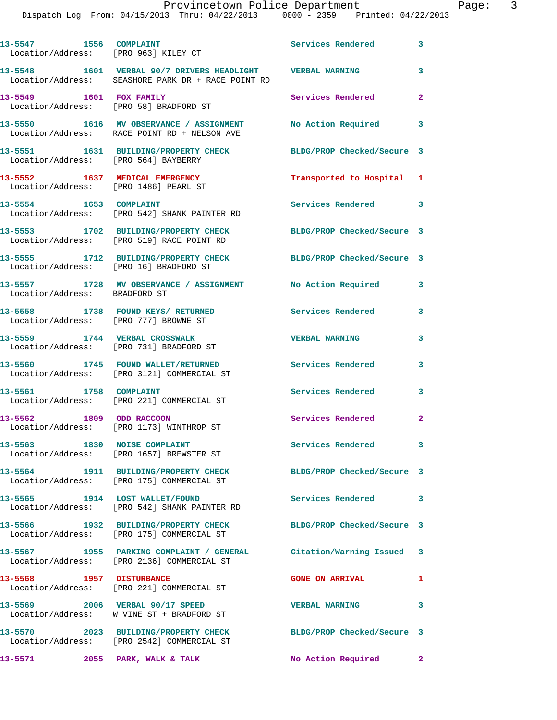| 13-5547 1556 COMPLAINT                 | Location/Address: [PRO 963] KILEY CT                                                                             | Services Rendered 3        |                         |
|----------------------------------------|------------------------------------------------------------------------------------------------------------------|----------------------------|-------------------------|
|                                        | 13-5548 1601 VERBAL 90/7 DRIVERS HEADLIGHT VERBAL WARNING<br>Location/Address: SEASHORE PARK DR + RACE POINT RD  |                            | 3                       |
| 13-5549 1601 FOX FAMILY                | Location/Address: [PRO 58] BRADFORD ST                                                                           | Services Rendered          | $\overline{a}$          |
|                                        | 13-5550 1616 MV OBSERVANCE / ASSIGNMENT<br>Location/Address: RACE POINT RD + NELSON AVE                          | <b>No Action Required</b>  | $\overline{\mathbf{3}}$ |
| Location/Address: [PRO 564] BAYBERRY   | 13-5551 1631 BUILDING/PROPERTY CHECK                                                                             | BLDG/PROP Checked/Secure 3 |                         |
| Location/Address: [PRO 1486] PEARL ST  | 13-5552 1637 MEDICAL EMERGENCY                                                                                   | Transported to Hospital 1  |                         |
| 13-5554 1653 COMPLAINT                 | Location/Address: [PRO 542] SHANK PAINTER RD                                                                     | Services Rendered 3        |                         |
|                                        | 13-5553 1702 BUILDING/PROPERTY CHECK<br>Location/Address: [PRO 519] RACE POINT RD                                | BLDG/PROP Checked/Secure 3 |                         |
| Location/Address: [PRO 16] BRADFORD ST | 13-5555 1712 BUILDING/PROPERTY CHECK BLDG/PROP Checked/Secure 3                                                  |                            |                         |
| Location/Address: BRADFORD ST          | 13-5557 1728 MV OBSERVANCE / ASSIGNMENT No Action Required                                                       |                            | 3                       |
| Location/Address: [PRO 777] BROWNE ST  | 13-5558 1738 FOUND KEYS/RETURNED                                                                                 | <b>Services Rendered</b>   | 3                       |
|                                        | 13-5559 1744 VERBAL CROSSWALK<br>Location/Address: [PRO 731] BRADFORD ST                                         | <b>VERBAL WARNING</b>      | 3                       |
|                                        | 13-5560 1745 FOUND WALLET/RETURNED<br>Location/Address: [PRO 3121] COMMERCIAL ST                                 | <b>Services Rendered</b>   | 3                       |
| 13-5561 1758 COMPLAINT                 | Location/Address: [PRO 221] COMMERCIAL ST                                                                        | <b>Services Rendered</b>   | 3                       |
| 13-5562 1809 ODD RACCOON               | Location/Address: [PRO 1173] WINTHROP ST                                                                         | Services Rendered          | $\overline{\mathbf{2}}$ |
|                                        | 13-5563 1830 NOISE COMPLAINT<br>Location/Address: [PRO 1657] BREWSTER ST                                         | Services Rendered 3        |                         |
|                                        | 13-5564 1911 BUILDING/PROPERTY CHECK BLDG/PROP Checked/Secure 3<br>Location/Address: [PRO 175] COMMERCIAL ST     |                            |                         |
|                                        | 13-5565 1914 LOST WALLET/FOUND<br>Location/Address: [PRO 542] SHANK PAINTER RD                                   | <b>Services Rendered</b>   | 3                       |
|                                        | 13-5566 1932 BUILDING/PROPERTY CHECK<br>Location/Address: [PRO 175] COMMERCIAL ST                                | BLDG/PROP Checked/Secure 3 |                         |
|                                        | 13-5567 1955 PARKING COMPLAINT / GENERAL Citation/Warning Issued 3<br>Location/Address: [PRO 2136] COMMERCIAL ST |                            |                         |
| 13-5568 1957 DISTURBANCE               | Location/Address: [PRO 221] COMMERCIAL ST                                                                        | <b>GONE ON ARRIVAL</b>     | $\mathbf{1}$            |
|                                        | 13-5569 2006 VERBAL 90/17 SPEED<br>Location/Address: W VINE ST + BRADFORD ST                                     | <b>VERBAL WARNING</b>      | 3                       |
|                                        | 13-5570 2023 BUILDING/PROPERTY CHECK<br>Location/Address: [PRO 2542] COMMERCIAL ST                               | BLDG/PROP Checked/Secure 3 |                         |
| 13-5571 2055 PARK, WALK & TALK         |                                                                                                                  | No Action Required 2       |                         |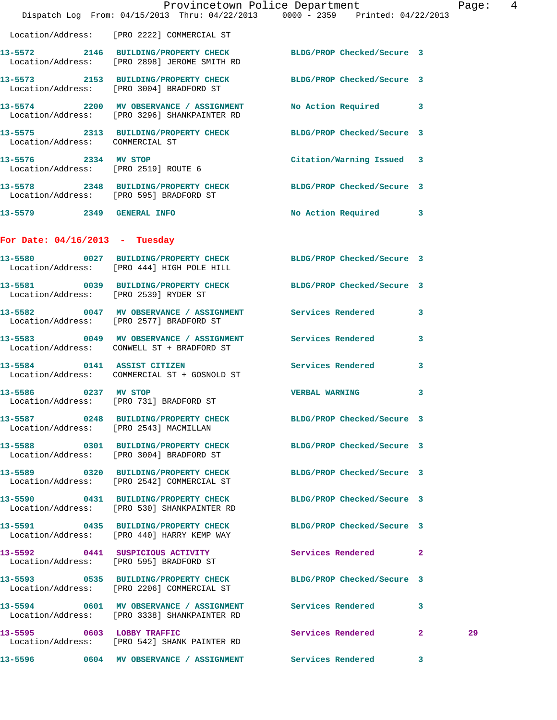|                                  | Dispatch Log From: 04/15/2013 Thru: 04/22/2013 0000 - 2359 Printed: 04/22/2013                                  | Provincetown Police Department |              | Page:  4 |  |
|----------------------------------|-----------------------------------------------------------------------------------------------------------------|--------------------------------|--------------|----------|--|
|                                  | Location/Address: [PRO 2222] COMMERCIAL ST                                                                      |                                |              |          |  |
|                                  | 13-5572 2146 BUILDING/PROPERTY CHECK BLDG/PROP Checked/Secure 3<br>Location/Address: [PRO 2898] JEROME SMITH RD |                                |              |          |  |
|                                  | 13-5573 2153 BUILDING/PROPERTY CHECK BLDG/PROP Checked/Secure 3<br>Location/Address: [PRO 3004] BRADFORD ST     |                                |              |          |  |
|                                  | 13-5574 2200 MV OBSERVANCE / ASSIGNMENT No Action Required 3<br>Location/Address: [PRO 3296] SHANKPAINTER RD    |                                |              |          |  |
|                                  | 13-5575 2313 BUILDING/PROPERTY CHECK BLDG/PROP Checked/Secure 3<br>Location/Address: COMMERCIAL ST              |                                |              |          |  |
|                                  | 13-5576 2334 MV STOP<br>Location/Address: [PRO 2519] ROUTE 6                                                    | Citation/Warning Issued 3      |              |          |  |
|                                  | 13-5578 2348 BUILDING/PROPERTY CHECK BLDG/PROP Checked/Secure 3<br>Location/Address: [PRO 595] BRADFORD ST      |                                |              |          |  |
|                                  | 13-5579 2349 GENERAL INFO                                                                                       | No Action Required 3           |              |          |  |
| For Date: $04/16/2013$ - Tuesday |                                                                                                                 |                                |              |          |  |
|                                  | 13-5580 0027 BUILDING/PROPERTY CHECK BLDG/PROP Checked/Secure 3<br>Location/Address: [PRO 444] HIGH POLE HILL   |                                |              |          |  |
|                                  | 13-5581 0039 BUILDING/PROPERTY CHECK BLDG/PROP Checked/Secure 3<br>Location/Address: [PRO 2539] RYDER ST        |                                |              |          |  |
|                                  | 13-5582 0047 MV OBSERVANCE / ASSIGNMENT Services Rendered 3<br>Location/Address: [PRO 2577] BRADFORD ST         |                                |              |          |  |
|                                  | 13-5583 0049 MV OBSERVANCE / ASSIGNMENT Services Rendered<br>Location/Address: CONWELL ST + BRADFORD ST         |                                | $\mathbf{3}$ |          |  |
|                                  | 13-5584 0141 ASSIST CITIZEN<br>Location/Address: COMMERCIAL ST + GOSNOLD ST                                     | Services Rendered              | $\mathbf{3}$ |          |  |
|                                  | 13-5586 0237 MV STOP<br>Location/Address: [PRO 731] BRADFORD ST                                                 | <b>VERBAL WARNING</b>          | 3            |          |  |
|                                  | 13-5587 0248 BUILDING/PROPERTY CHECK BLDG/PROP Checked/Secure 3<br>Location/Address: [PRO 2543] MACMILLAN       |                                |              |          |  |
|                                  | 13-5588 0301 BUILDING/PROPERTY CHECK BLDG/PROP Checked/Secure 3<br>Location/Address: [PRO 3004] BRADFORD ST     |                                |              |          |  |
|                                  | 13-5589 0320 BUILDING/PROPERTY CHECK<br>Location/Address: [PRO 2542] COMMERCIAL ST                              | BLDG/PROP Checked/Secure 3     |              |          |  |
|                                  | 13-5590 0431 BUILDING/PROPERTY CHECK<br>Location/Address: [PRO 530] SHANKPAINTER RD                             | BLDG/PROP Checked/Secure 3     |              |          |  |
|                                  | 13-5591 0435 BUILDING/PROPERTY CHECK BLDG/PROP Checked/Secure 3<br>Location/Address: [PRO 440] HARRY KEMP WAY   |                                |              |          |  |
|                                  | 13-5592 0441 SUSPICIOUS ACTIVITY<br>Location/Address: [PRO 595] BRADFORD ST                                     | Services Rendered 2            |              |          |  |
|                                  | 13-5593 0535 BUILDING/PROPERTY CHECK BLDG/PROP Checked/Secure 3<br>Location/Address: [PRO 2206] COMMERCIAL ST   |                                |              |          |  |
|                                  | 13-5594 0601 MV OBSERVANCE / ASSIGNMENT Services Rendered 3<br>Location/Address: [PRO 3338] SHANKPAINTER RD     |                                |              |          |  |
|                                  | 13-5595 0603 LOBBY TRAFFIC<br>Location/Address: [PRO 542] SHANK PAINTER RD                                      | Services Rendered 2            |              | 29       |  |
| 13-5596                          | 0604 MV OBSERVANCE / ASSIGNMENT Services Rendered 3                                                             |                                |              |          |  |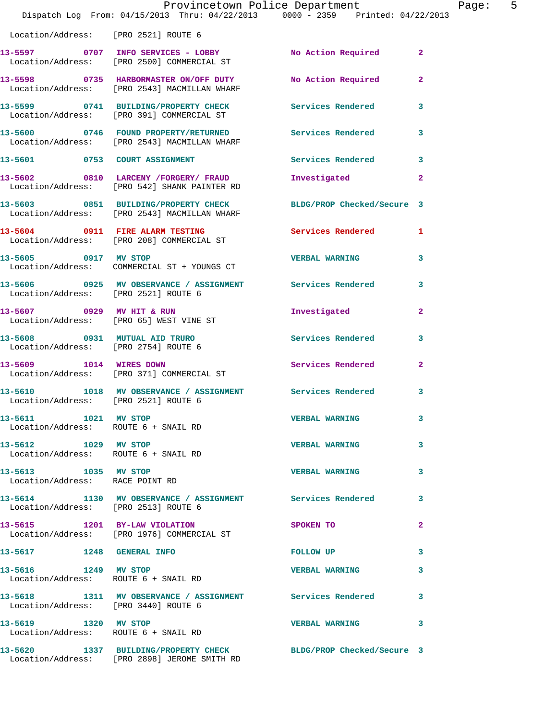|                                                              | Provincetown Police Department<br>Dispatch Log From: 04/15/2013 Thru: 04/22/2013 0000 - 2359 Printed: 04/22/2013 |                          | Page: 5        |
|--------------------------------------------------------------|------------------------------------------------------------------------------------------------------------------|--------------------------|----------------|
| Location/Address: [PRO 2521] ROUTE 6                         |                                                                                                                  |                          |                |
|                                                              | 13-5597 0707 INFO SERVICES - LOBBY No Action Required 2<br>Location/Address: [PRO 2500] COMMERCIAL ST            |                          |                |
|                                                              | 13-5598 0735 HARBORMASTER ON/OFF DUTY No Action Required 2<br>Location/Address: [PRO 2543] MACMILLAN WHARF       |                          |                |
|                                                              | 13-5599 0741 BUILDING/PROPERTY CHECK Services Rendered<br>Location/Address: [PRO 391] COMMERCIAL ST              |                          | 3              |
|                                                              | 13-5600 0746 FOUND PROPERTY/RETURNED Services Rendered<br>Location/Address: [PRO 2543] MACMILLAN WHARF           |                          | 3              |
|                                                              | 13-5601 0753 COURT ASSIGNMENT                                                                                    | Services Rendered 3      |                |
|                                                              | 13-5602 0810 LARCENY /FORGERY / FRAUD<br>Location/Address: [PRO 542] SHANK PAINTER RD                            | Investigated             | $\mathbf{2}$   |
|                                                              | 13-5603 0851 BUILDING/PROPERTY CHECK BLDG/PROP Checked/Secure 3<br>Location/Address: [PRO 2543] MACMILLAN WHARF  |                          |                |
|                                                              | 13-5604 0911 FIRE ALARM TESTING<br>Location/Address: [PRO 208] COMMERCIAL ST                                     | <b>Services Rendered</b> | $\mathbf{1}$   |
|                                                              | 13-5605 0917 MV STOP<br>Location/Address: COMMERCIAL ST + YOUNGS CT                                              | <b>VERBAL WARNING</b>    | 3              |
| Location/Address: [PRO 2521] ROUTE 6                         | 13-5606 0925 MV OBSERVANCE / ASSIGNMENT Services Rendered                                                        |                          | 3              |
|                                                              | 13-5607 0929 MV HIT & RUN<br>Location/Address: [PRO 65] WEST VINE ST                                             | Investigated             | $\overline{2}$ |
| Location/Address: [PRO 2754] ROUTE 6                         | 13-5608 0931 MUTUAL AID TRURO                                                                                    | Services Rendered        | 3              |
| 13-5609 1014 WIRES DOWN                                      | Location/Address: [PRO 371] COMMERCIAL ST                                                                        | Services Rendered        | $\mathbf{2}$   |
| Location/Address: [PRO 2521] ROUTE 6                         | 13-5610 1018 MV OBSERVANCE / ASSIGNMENT Services Rendered                                                        |                          | 3              |
| 13-5611 1021 MV STOP<br>Location/Address: ROUTE 6 + SNAIL RD |                                                                                                                  | <b>VERBAL WARNING</b>    | 3              |
| Location/Address: ROUTE 6 + SNAIL RD                         | 13-5612 1029 MV STOP                                                                                             | <b>VERBAL WARNING</b>    | 3              |
| 13-5613 1035 MV STOP<br>Location/Address: RACE POINT RD      |                                                                                                                  | <b>VERBAL WARNING</b>    | 3              |
| Location/Address: [PRO 2513] ROUTE 6                         | 13-5614 1130 MV OBSERVANCE / ASSIGNMENT Services Rendered                                                        |                          | 3              |
|                                                              | 13-5615 1201 BY-LAW VIOLATION<br>Location/Address: [PRO 1976] COMMERCIAL ST                                      | SPOKEN TO                | 2              |
|                                                              | 13-5617 1248 GENERAL INFO                                                                                        | FOLLOW UP                | 3              |
| 13-5616 1249 MV STOP                                         | Location/Address: ROUTE 6 + SNAIL RD                                                                             | <b>VERBAL WARNING</b>    | 3              |
| Location/Address: [PRO 3440] ROUTE 6                         | 13-5618 1311 MV OBSERVANCE / ASSIGNMENT Services Rendered                                                        |                          | 3              |
| 13-5619 1320 MV STOP                                         | Location/Address: ROUTE 6 + SNAIL RD                                                                             | <b>VERBAL WARNING</b>    | 3              |
|                                                              | 13-5620 1337 BUILDING/PROPERTY CHECK BLDG/PROP Checked/Secure 3<br>Location/Address: [PRO 2898] JEROME SMITH RD  |                          |                |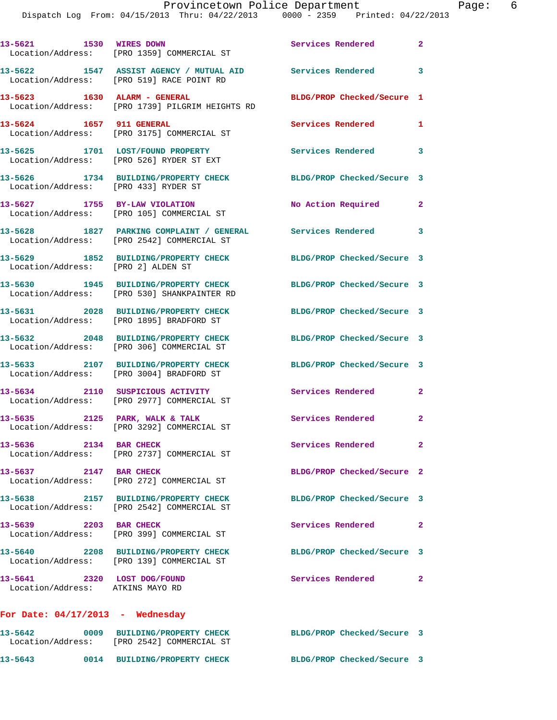## Provincetown Police Department Page: 6

| 13-5621 1530 WIRES DOWN                                         | Location/Address: [PRO 1359] COMMERCIAL ST                                                                     | Services Rendered 2        |              |
|-----------------------------------------------------------------|----------------------------------------------------------------------------------------------------------------|----------------------------|--------------|
|                                                                 | 13-5622 1547 ASSIST AGENCY / MUTUAL AID Services Rendered 3<br>Location/Address: [PRO 519] RACE POINT RD       |                            |              |
| 13-5623 1630 ALARM - GENERAL                                    | Location/Address: [PRO 1739] PILGRIM HEIGHTS RD                                                                | BLDG/PROP Checked/Secure 1 |              |
|                                                                 | 13-5624 1657 911 GENERAL<br>Location/Address: [PRO 3175] COMMERCIAL ST                                         | Services Rendered          | $\mathbf{1}$ |
|                                                                 | 13-5625 1701 LOST/FOUND PROPERTY<br>Location/Address: [PRO 526] RYDER ST EXT                                   | Services Rendered 3        |              |
| Location/Address: [PRO 433] RYDER ST                            | 13-5626 1734 BUILDING/PROPERTY CHECK                                                                           | BLDG/PROP Checked/Secure 3 |              |
| 13-5627 1755 BY-LAW VIOLATION                                   | Location/Address: [PRO 105] COMMERCIAL ST                                                                      | No Action Required         | $\mathbf{2}$ |
|                                                                 | 13-5628 1827 PARKING COMPLAINT / GENERAL Services Rendered 3<br>Location/Address: [PRO 2542] COMMERCIAL ST     |                            |              |
| Location/Address: [PRO 2] ALDEN ST                              | 13-5629 1852 BUILDING/PROPERTY CHECK                                                                           | BLDG/PROP Checked/Secure 3 |              |
|                                                                 | 13-5630 1945 BUILDING/PROPERTY CHECK BLDG/PROP Checked/Secure 3<br>Location/Address: [PRO 530] SHANKPAINTER RD |                            |              |
|                                                                 | 13-5631 2028 BUILDING/PROPERTY CHECK<br>Location/Address: [PRO 1895] BRADFORD ST                               | BLDG/PROP Checked/Secure 3 |              |
|                                                                 | 13-5632 2048 BUILDING/PROPERTY CHECK<br>Location/Address: [PRO 306] COMMERCIAL ST                              | BLDG/PROP Checked/Secure 3 |              |
|                                                                 | 13-5633 2107 BUILDING/PROPERTY CHECK<br>Location/Address: [PRO 3004] BRADFORD ST                               | BLDG/PROP Checked/Secure 3 |              |
|                                                                 | 13-5634 2110 SUSPICIOUS ACTIVITY<br>Location/Address: [PRO 2977] COMMERCIAL ST                                 | Services Rendered          | $\mathbf{2}$ |
|                                                                 | 13-5635 2125 PARK, WALK & TALK<br>Location/Address: [PRO 3292] COMMERCIAL ST                                   | Services Rendered 2        |              |
| 13-5636 2134 BAR CHECK                                          | Location/Address: [PRO 2737] COMMERCIAL ST                                                                     | Services Rendered 2        |              |
| 13-5637 2147 BAR CHECK                                          | Location/Address: [PRO 272] COMMERCIAL ST                                                                      | BLDG/PROP Checked/Secure 2 |              |
|                                                                 | 13-5638 2157 BUILDING/PROPERTY CHECK<br>Location/Address: [PRO 2542] COMMERCIAL ST                             | BLDG/PROP Checked/Secure 3 |              |
| 13-5639 2203 BAR CHECK                                          | Location/Address: [PRO 399] COMMERCIAL ST                                                                      | Services Rendered          | $\mathbf{2}$ |
|                                                                 | 13-5640 2208 BUILDING/PROPERTY CHECK<br>Location/Address: [PRO 139] COMMERCIAL ST                              | BLDG/PROP Checked/Secure 3 |              |
| 13-5641 2320 LOST DOG/FOUND<br>Location/Address: ATKINS MAYO RD |                                                                                                                | Services Rendered 2        |              |
| For Date: $04/17/2013$ - Wednesday                              |                                                                                                                |                            |              |
|                                                                 | 13-5642 0009 BUILDING/PROPERTY CHECK<br>Location/Address: [PRO 2542] COMMERCIAL ST                             | BLDG/PROP Checked/Secure 3 |              |

**13-5643 0014 BUILDING/PROPERTY CHECK BLDG/PROP Checked/Secure 3**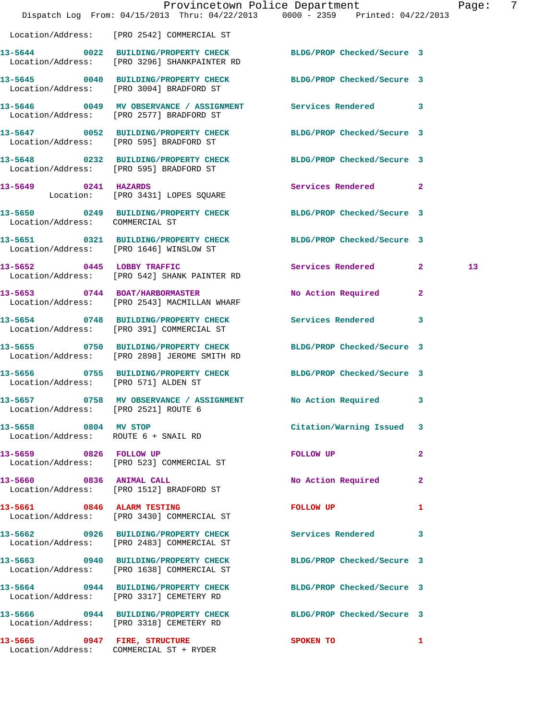|                                                              | Dispatch Log From: 04/15/2013 Thru: 04/22/2013 0000 - 2359 Printed: 04/22/2013                                  | Provincetown Police Department |              | Page: | - 7 |
|--------------------------------------------------------------|-----------------------------------------------------------------------------------------------------------------|--------------------------------|--------------|-------|-----|
|                                                              | Location/Address: [PRO 2542] COMMERCIAL ST                                                                      |                                |              |       |     |
|                                                              | 13-5644 0022 BUILDING/PROPERTY CHECK BLDG/PROP Checked/Secure 3<br>Location/Address: [PRO 3296] SHANKPAINTER RD |                                |              |       |     |
|                                                              | 13-5645 0040 BUILDING/PROPERTY CHECK BLDG/PROP Checked/Secure 3<br>Location/Address: [PRO 3004] BRADFORD ST     |                                |              |       |     |
|                                                              | 13-5646 0049 MV OBSERVANCE / ASSIGNMENT Services Rendered 3<br>Location/Address: [PRO 2577] BRADFORD ST         |                                |              |       |     |
|                                                              | 13-5647 0052 BUILDING/PROPERTY CHECK<br>Location/Address: [PRO 595] BRADFORD ST                                 | BLDG/PROP Checked/Secure 3     |              |       |     |
|                                                              | 13-5648 0232 BUILDING/PROPERTY CHECK BLDG/PROP Checked/Secure 3<br>Location/Address: [PRO 595] BRADFORD ST      |                                |              |       |     |
|                                                              | 13-5649 0241 HAZARDS<br>Location: [PRO 3431] LOPES SQUARE                                                       | Services Rendered 2            |              |       |     |
| Location/Address: COMMERCIAL ST                              | 13-5650 0249 BUILDING/PROPERTY CHECK BLDG/PROP Checked/Secure 3                                                 |                                |              |       |     |
|                                                              | 13-5651 0321 BUILDING/PROPERTY CHECK BLDG/PROP Checked/Secure 3<br>Location/Address: [PRO 1646] WINSLOW ST      |                                |              |       |     |
|                                                              | 13-5652 0445 LOBBY TRAFFIC<br>Location/Address: [PRO 542] SHANK PAINTER RD                                      | Services Rendered 2            |              | 13    |     |
|                                                              | 13-5653 0744 BOAT/HARBORMASTER<br>Location/Address: [PRO 2543] MACMILLAN WHARF                                  | No Action Required             | $\mathbf{2}$ |       |     |
|                                                              | 13-5654 0748 BUILDING/PROPERTY CHECK Services Rendered 3<br>Location/Address: [PRO 391] COMMERCIAL ST           |                                |              |       |     |
|                                                              | 13-5655 0750 BUILDING/PROPERTY CHECK BLDG/PROP Checked/Secure 3<br>Location/Address: [PRO 2898] JEROME SMITH RD |                                |              |       |     |
| Location/Address: [PRO 571] ALDEN ST                         | 13-5656 0755 BUILDING/PROPERTY CHECK BLDG/PROP Checked/Secure 3                                                 |                                |              |       |     |
| Location/Address: [PRO 2521] ROUTE 6                         | 13-5657 0758 MV OBSERVANCE / ASSIGNMENT No Action Required 3                                                    |                                |              |       |     |
| 13-5658 0804 MV STOP<br>Location/Address: ROUTE 6 + SNAIL RD |                                                                                                                 | Citation/Warning Issued 3      |              |       |     |
| 13-5659 0826 FOLLOW UP                                       | Location/Address: [PRO 523] COMMERCIAL ST                                                                       | FOLLOW UP                      | $\mathbf{2}$ |       |     |
|                                                              | 13-5660 0836 ANIMAL CALL<br>Location/Address: [PRO 1512] BRADFORD ST                                            | No Action Required             | $\mathbf{2}$ |       |     |
|                                                              | 13-5661 0846 ALARM TESTING<br>Location/Address: [PRO 3430] COMMERCIAL ST                                        | FOLLOW UP                      | 1            |       |     |
|                                                              | 13-5662 0926 BUILDING/PROPERTY CHECK<br>Location/Address: [PRO 2483] COMMERCIAL ST                              | <b>Services Rendered</b>       | 3            |       |     |
|                                                              | 13-5663 0940 BUILDING/PROPERTY CHECK<br>Location/Address: [PRO 1638] COMMERCIAL ST                              | BLDG/PROP Checked/Secure 3     |              |       |     |
|                                                              | 13-5664 0944 BUILDING/PROPERTY CHECK BLDG/PROP Checked/Secure 3<br>Location/Address: [PRO 3317] CEMETERY RD     |                                |              |       |     |
|                                                              | 13-5666 0944 BUILDING/PROPERTY CHECK BLDG/PROP Checked/Secure 3<br>Location/Address: [PRO 3318] CEMETERY RD     |                                |              |       |     |
|                                                              | 13-5665 0947 FIRE, STRUCTURE<br>Location/Address: COMMERCIAL ST + RYDER                                         | SPOKEN TO                      | 1            |       |     |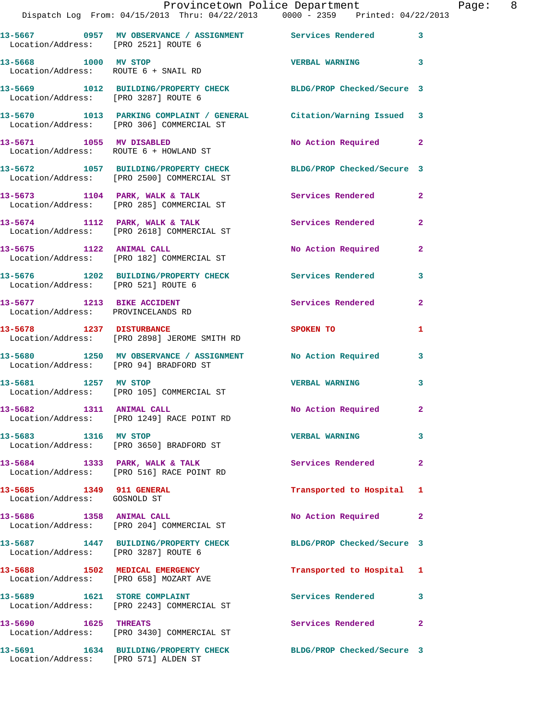|                                                          | Provincetown Police Department The Page: 8<br>Dispatch Log From: 04/15/2013 Thru: 04/22/2013 0000 - 2359 Printed: 04/22/2013 |                             |                |  |
|----------------------------------------------------------|------------------------------------------------------------------------------------------------------------------------------|-----------------------------|----------------|--|
| Location/Address: [PRO 2521] ROUTE 6                     | 13-5667 6957 MV OBSERVANCE / ASSIGNMENT Services Rendered 3                                                                  |                             |                |  |
| 13-5668 1000 MV STOP                                     | Location/Address: ROUTE 6 + SNAIL RD                                                                                         | <b>VERBAL WARNING</b> 3     |                |  |
|                                                          | 13-5669 1012 BUILDING/PROPERTY CHECK BLDG/PROP Checked/Secure 3<br>Location/Address: [PRO 3287] ROUTE 6                      |                             |                |  |
|                                                          | 13-5670 1013 PARKING COMPLAINT / GENERAL Citation/Warning Issued 3<br>Location/Address: [PRO 306] COMMERCIAL ST              |                             |                |  |
|                                                          | 13-5671 1055 MV DISABLED<br>Location/Address: ROUTE 6 + HOWLAND ST                                                           | No Action Required 2        |                |  |
|                                                          | 13-5672 1057 BUILDING/PROPERTY CHECK BLDG/PROP Checked/Secure 3<br>Location/Address: [PRO 2500] COMMERCIAL ST                |                             |                |  |
|                                                          | 13-5673 1104 PARK, WALK & TALK Services Rendered<br>Location/Address: [PRO 285] COMMERCIAL ST                                |                             | $\mathbf{2}$   |  |
|                                                          | 13-5674 1112 PARK, WALK & TALK 1988 Services Rendered<br>Location/Address: [PRO 2618] COMMERCIAL ST                          |                             | $\mathbf{2}$   |  |
|                                                          | 13-5675 1122 ANIMAL CALL<br>Location/Address: [PRO 182] COMMERCIAL ST                                                        | No Action Required 2        |                |  |
| Location/Address: [PRO 521] ROUTE 6                      | 13-5676 1202 BUILDING/PROPERTY CHECK Services Rendered                                                                       |                             | 3              |  |
| Location/Address: PROVINCELANDS RD                       | 13-5677 1213 BIKE ACCIDENT                                                                                                   | Services Rendered           | $\overline{2}$ |  |
|                                                          | 13-5678 1237 DISTURBANCE<br>Location/Address: [PRO 2898] JEROME SMITH RD                                                     | SPOKEN TO AND THE SPOKEN TO | 1              |  |
|                                                          | 13-5680 1250 MV OBSERVANCE / ASSIGNMENT No Action Required 3<br>Location/Address: [PRO 94] BRADFORD ST                       |                             |                |  |
|                                                          | 13-5681 1257 MV STOP<br>Location/Address: [PRO 105] COMMERCIAL ST                                                            | <b>VERBAL WARNING</b>       | $\mathbf{3}$   |  |
|                                                          | 13-5682 1311 ANIMAL CALL<br>Location/Address: [PRO 1249] RACE POINT RD                                                       | No Action Required          |                |  |
| 13-5683 1316 MV STOP                                     | Location/Address: [PRO 3650] BRADFORD ST                                                                                     | <b>VERBAL WARNING</b>       | 3              |  |
|                                                          | 13-5684 1333 PARK, WALK & TALK<br>Location/Address: [PRO 516] RACE POINT RD                                                  | Services Rendered           | $\mathbf{2}$   |  |
| 13-5685 1349 911 GENERAL<br>Location/Address: GOSNOLD ST |                                                                                                                              | Transported to Hospital 1   |                |  |
|                                                          | 13-5686 1358 ANIMAL CALL<br>Location/Address: [PRO 204] COMMERCIAL ST                                                        | No Action Required          | $\mathbf{2}$   |  |
| Location/Address: [PRO 3287] ROUTE 6                     | 13-5687 1447 BUILDING/PROPERTY CHECK BLDG/PROP Checked/Secure 3                                                              |                             |                |  |
|                                                          | 13-5688 1502 MEDICAL EMERGENCY<br>Location/Address: [PRO 658] MOZART AVE                                                     | Transported to Hospital 1   |                |  |
|                                                          | 13-5689 1621 STORE COMPLAINT<br>Location/Address: [PRO 2243] COMMERCIAL ST                                                   | Services Rendered           | 3              |  |
| 13-5690 1625 THREATS                                     | Location/Address: [PRO 3430] COMMERCIAL ST                                                                                   | Services Rendered           | $\mathbf{2}$   |  |
|                                                          | 13-5691 1634 BUILDING/PROPERTY CHECK                                                                                         | BLDG/PROP Checked/Secure 3  |                |  |

Location/Address: [PRO 571] ALDEN ST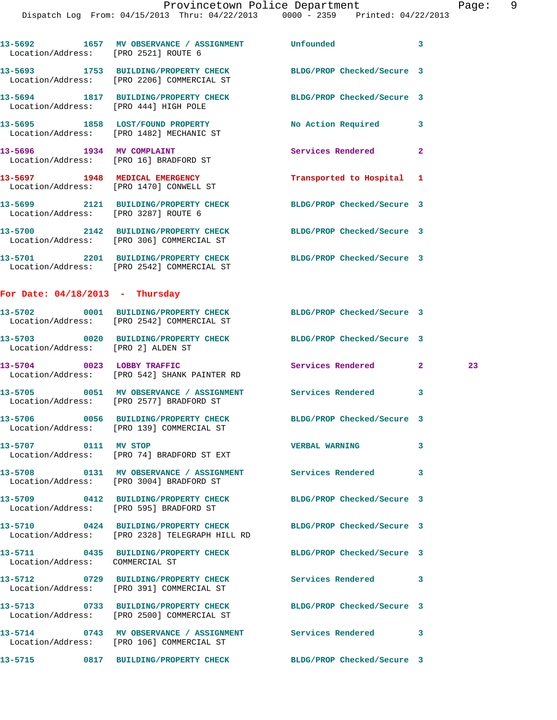|                                   | 13-5692 1657 MV OBSERVANCE / ASSIGNMENT Unfounded<br>Location/Address: [PRO 2521] ROUTE 6                          |                            | 3            |    |
|-----------------------------------|--------------------------------------------------------------------------------------------------------------------|----------------------------|--------------|----|
|                                   | 13-5693 1753 BUILDING/PROPERTY CHECK BLDG/PROP Checked/Secure 3<br>Location/Address: [PRO 2206] COMMERCIAL ST      |                            |              |    |
|                                   | 13-5694 1817 BUILDING/PROPERTY CHECK<br>Location/Address: [PRO 444] HIGH POLE                                      | BLDG/PROP Checked/Secure 3 |              |    |
|                                   | 13-5695 1858 LOST/FOUND PROPERTY<br>Location/Address: [PRO 1482] MECHANIC ST                                       | No Action Required 3       |              |    |
|                                   | 13-5696 1934 MV COMPLAINT<br>Location/Address: [PRO 16] BRADFORD ST                                                | Services Rendered          | $\mathbf{2}$ |    |
|                                   | 13-5697 1948 MEDICAL EMERGENCY<br>Location/Address: [PRO 1470] CONWELL ST                                          | Transported to Hospital 1  |              |    |
|                                   | 13-5699 2121 BUILDING/PROPERTY CHECK<br>Location/Address: [PRO 3287] ROUTE 6                                       | BLDG/PROP Checked/Secure 3 |              |    |
|                                   | 13-5700 2142 BUILDING/PROPERTY CHECK<br>Location/Address: [PRO 306] COMMERCIAL ST                                  | BLDG/PROP Checked/Secure 3 |              |    |
|                                   | 13-5701 2201 BUILDING/PROPERTY CHECK BLDG/PROP Checked/Secure 3<br>Location/Address: [PRO 2542] COMMERCIAL ST      |                            |              |    |
| For Date: $04/18/2013$ - Thursday |                                                                                                                    |                            |              |    |
|                                   | 13-5702 0001 BUILDING/PROPERTY CHECK BLDG/PROP Checked/Secure 3<br>Location/Address: [PRO 2542] COMMERCIAL ST      |                            |              |    |
|                                   | 13-5703 0020 BUILDING/PROPERTY CHECK<br>Location/Address: [PRO 2] ALDEN ST                                         | BLDG/PROP Checked/Secure 3 |              |    |
|                                   | 13-5704 0023 LOBBY TRAFFIC<br>Location/Address: [PRO 542] SHANK PAINTER RD                                         | Services Rendered 2        |              | 23 |
|                                   | 13-5705 0051 MV OBSERVANCE / ASSIGNMENT Services Rendered<br>Location/Address: [PRO 2577] BRADFORD ST              |                            | 3            |    |
|                                   | 13-5706 0056 BUILDING/PROPERTY CHECK BLDG/PROP Checked/Secure 3<br>Location/Address: [PRO 139] COMMERCIAL ST       |                            |              |    |
| 13-5707 0111 MV STOP              | Location/Address: [PRO 74] BRADFORD ST EXT                                                                         | <b>VERBAL WARNING</b>      | 3            |    |
|                                   | 13-5708       0131   MV OBSERVANCE / ASSIGNMENT      Services Rendered<br>Location/Address: [PRO 3004] BRADFORD ST |                            | 3            |    |
|                                   | 13-5709 0412 BUILDING/PROPERTY CHECK<br>Location/Address: [PRO 595] BRADFORD ST                                    | BLDG/PROP Checked/Secure 3 |              |    |
|                                   | 13-5710 0424 BUILDING/PROPERTY CHECK<br>Location/Address: [PRO 2328] TELEGRAPH HILL RD                             | BLDG/PROP Checked/Secure 3 |              |    |
| Location/Address: COMMERCIAL ST   | 13-5711 0435 BUILDING/PROPERTY CHECK BLDG/PROP Checked/Secure 3                                                    |                            |              |    |
|                                   | 13-5712 0729 BUILDING/PROPERTY CHECK Services Rendered 3<br>Location/Address: [PRO 391] COMMERCIAL ST              |                            |              |    |
|                                   | 13-5713 0733 BUILDING/PROPERTY CHECK<br>Location/Address: [PRO 2500] COMMERCIAL ST                                 | BLDG/PROP Checked/Secure 3 |              |    |
|                                   | 13-5714 0743 MV OBSERVANCE / ASSIGNMENT Services Rendered<br>Location/Address: [PRO 106] COMMERCIAL ST             |                            | 3            |    |
| 13-5715                           | 0817 BUILDING/PROPERTY CHECK                                                                                       | BLDG/PROP Checked/Secure 3 |              |    |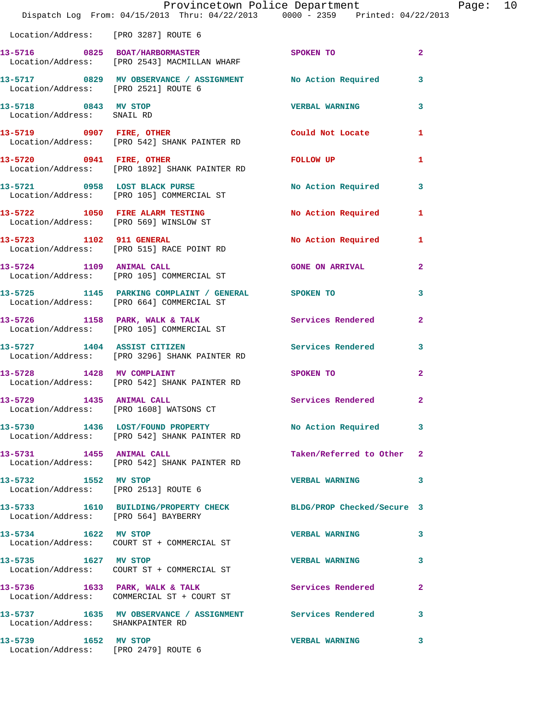|                                                    | Provincetown Police Department<br>Dispatch Log From: 04/15/2013 Thru: 04/22/2013 0000 - 2359 Printed: 04/22/2013 |                           |                |
|----------------------------------------------------|------------------------------------------------------------------------------------------------------------------|---------------------------|----------------|
| Location/Address: [PRO 3287] ROUTE 6               |                                                                                                                  |                           |                |
|                                                    | 13-5716 0825 BOAT/HARBORMASTER<br>Location/Address: [PRO 2543] MACMILLAN WHARF                                   | <b>SPOKEN TO</b>          | $\overline{2}$ |
| Location/Address: [PRO 2521] ROUTE 6               | 13-5717 0829 MV OBSERVANCE / ASSIGNMENT No Action Required                                                       |                           | 3              |
| 13-5718 0843 MV STOP<br>Location/Address: SNAIL RD |                                                                                                                  | <b>VERBAL WARNING</b>     | 3              |
|                                                    | 13-5719 0907 FIRE, OTHER<br>Location/Address: [PRO 542] SHANK PAINTER RD                                         | Could Not Locate          | 1              |
|                                                    | 13-5720 0941 FIRE, OTHER<br>Location/Address: [PRO 1892] SHANK PAINTER RD                                        | FOLLOW UP                 | 1              |
|                                                    | 13-5721 0958 LOST BLACK PURSE<br>Location/Address: [PRO 105] COMMERCIAL ST                                       | No Action Required        | 3              |
|                                                    | 13-5722 1050 FIRE ALARM TESTING<br>Location/Address: [PRO 569] WINSLOW ST                                        | <b>No Action Required</b> | 1              |
|                                                    | 13-5723 1102 911 GENERAL<br>Location/Address: [PRO 515] RACE POINT RD                                            | No Action Required        | 1              |
| 13-5724 1109 ANIMAL CALL                           | Location/Address: [PRO 105] COMMERCIAL ST                                                                        | <b>GONE ON ARRIVAL</b>    | $\overline{2}$ |
|                                                    | 13-5725 1145 PARKING COMPLAINT / GENERAL SPOKEN TO<br>Location/Address: [PRO 664] COMMERCIAL ST                  |                           | 3              |
|                                                    | 13-5726 1158 PARK, WALK & TALK<br>Location/Address: [PRO 105] COMMERCIAL ST                                      | Services Rendered         | $\mathbf{2}$   |
|                                                    | 13-5727 1404 ASSIST CITIZEN<br>Location/Address: [PRO 3296] SHANK PAINTER RD                                     | Services Rendered         | 3              |
| 13-5728 1428 MV COMPLAINT                          | Location/Address: [PRO 542] SHANK PAINTER RD                                                                     | SPOKEN TO                 | $\overline{a}$ |
| 13-5729 1435 ANIMAL CALL                           | Location/Address: [PRO 1608] WATSONS CT                                                                          | Services Rendered         | $\overline{2}$ |
|                                                    | 13-5730 1436 LOST/FOUND PROPERTY<br>Location/Address: [PRO 542] SHANK PAINTER RD                                 | No Action Required        | 3              |
|                                                    | 13-5731 1455 ANIMAL CALL<br>Location/Address: [PRO 542] SHANK PAINTER RD                                         | Taken/Referred to Other   | $\mathbf{2}$   |
| 13-5732 1552 MV STOP                               | Location/Address: [PRO 2513] ROUTE 6                                                                             | <b>VERBAL WARNING</b>     | 3              |
| Location/Address: [PRO 564] BAYBERRY               | 13-5733 1610 BUILDING/PROPERTY CHECK BLDG/PROP Checked/Secure 3                                                  |                           |                |
| 13-5734 1622 MV STOP                               | Location/Address: COURT ST + COMMERCIAL ST                                                                       | <b>VERBAL WARNING</b>     | 3              |
| 13-5735 1627 MV STOP                               |                                                                                                                  | <b>VERBAL WARNING</b>     | 3              |
|                                                    | 13-5736 1633 PARK, WALK & TALK<br>Location/Address: COMMERCIAL ST + COURT ST                                     | Services Rendered         | 2              |
| Location/Address: SHANKPAINTER RD                  | 13-5737 1635 MV OBSERVANCE / ASSIGNMENT Services Rendered                                                        |                           | 3              |
| 13-5739 1652 MV STOP                               | Location/Address: [PRO 2479] ROUTE 6                                                                             | <b>VERBAL WARNING</b>     | 3              |

Page: 10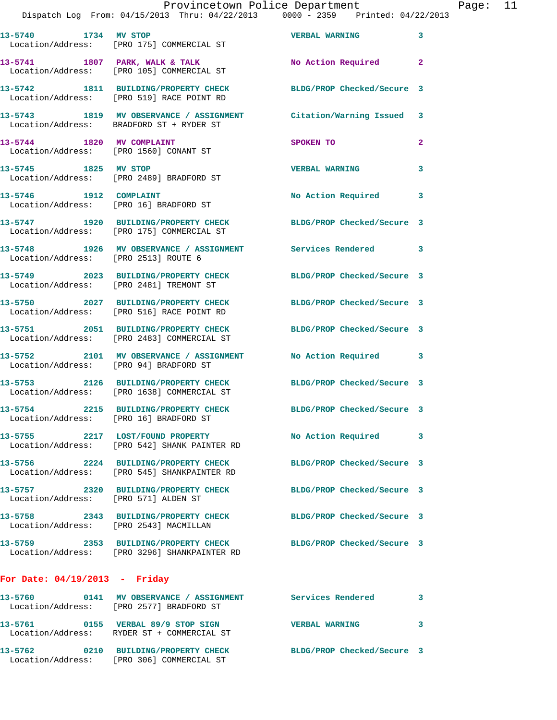|                                        | Provincetown Police Department                                                      |                                                                                                               |              |
|----------------------------------------|-------------------------------------------------------------------------------------|---------------------------------------------------------------------------------------------------------------|--------------|
|                                        |                                                                                     | Dispatch Log From: 04/15/2013 Thru: 04/22/2013 0000 - 2359 Printed: 04/22/2013                                |              |
|                                        | 13-5740 1734 MV STOP<br>Location/Address: [PRO 175] COMMERCIAL ST                   | <b>VERBAL WARNING</b>                                                                                         | 3            |
|                                        | Location/Address: [PRO 105] COMMERCIAL ST                                           | 13-5741 1807 PARK, WALK & TALK 1999 No Action Required                                                        | $\mathbf{2}$ |
|                                        | 13-5742 1811 BUILDING/PROPERTY CHECK<br>Location/Address: [PRO 519] RACE POINT RD   | BLDG/PROP Checked/Secure 3                                                                                    |              |
|                                        | Location/Address: BRADFORD ST + RYDER ST                                            | 13-5743 1819 MV OBSERVANCE / ASSIGNMENT Citation/Warning Issued 3                                             |              |
|                                        | 13-5744 1820 MV COMPLAINT<br>Location/Address: [PRO 1560] CONANT ST                 | <b>SPOKEN TO</b>                                                                                              | $\mathbf{2}$ |
| 13-5745 1825 MV STOP                   | Location/Address: [PRO 2489] BRADFORD ST                                            | <b>VERBAL WARNING</b>                                                                                         | 3            |
| 13-5746 1912 COMPLAINT                 | Location/Address: [PRO 16] BRADFORD ST                                              | No Action Required                                                                                            | 3            |
|                                        | Location/Address: [PRO 175] COMMERCIAL ST                                           | 13-5747 1920 BUILDING/PROPERTY CHECK BLDG/PROP Checked/Secure 3                                               |              |
| Location/Address: [PRO 2513] ROUTE 6   |                                                                                     | 13-5748 1926 MV OBSERVANCE / ASSIGNMENT Services Rendered                                                     | 3            |
|                                        | Location/Address: [PRO 2481] TREMONT ST                                             | 13-5749 2023 BUILDING/PROPERTY CHECK BLDG/PROP Checked/Secure 3                                               |              |
|                                        | Location/Address: [PRO 516] RACE POINT RD                                           | 13-5750 2027 BUILDING/PROPERTY CHECK BLDG/PROP Checked/Secure 3                                               |              |
|                                        | Location/Address: [PRO 2483] COMMERCIAL ST                                          | 13-5751 2051 BUILDING/PROPERTY CHECK BLDG/PROP Checked/Secure 3                                               |              |
|                                        | Location/Address: [PRO 94] BRADFORD ST                                              | 13-5752 2101 MV OBSERVANCE / ASSIGNMENT No Action Required                                                    | 3            |
|                                        |                                                                                     | 13-5753 2126 BUILDING/PROPERTY CHECK BLDG/PROP Checked/Secure 3<br>Location/Address: [PRO 1638] COMMERCIAL ST |              |
|                                        | 13-5754 2215 BUILDING/PROPERTY CHECK<br>Location/Address: [PRO 16] BRADFORD ST      | BLDG/PROP Checked/Secure 3                                                                                    |              |
|                                        | 13-5755 2217 LOST/FOUND PROPERTY<br>Location/Address: [PRO 542] SHANK PAINTER RD    | No Action Required                                                                                            | 3            |
|                                        | 13-5756 2224 BUILDING/PROPERTY CHECK<br>Location/Address: [PRO 545] SHANKPAINTER RD | BLDG/PROP Checked/Secure 3                                                                                    |              |
| Location/Address: [PRO 571] ALDEN ST   | 13-5757 2320 BUILDING/PROPERTY CHECK                                                | BLDG/PROP Checked/Secure 3                                                                                    |              |
| Location/Address: [PRO 2543] MACMILLAN | 13-5758 2343 BUILDING/PROPERTY CHECK                                                | BLDG/PROP Checked/Secure 3                                                                                    |              |
|                                        | Location/Address: [PRO 3296] SHANKPAINTER RD                                        | 13-5759 2353 BUILDING/PROPERTY CHECK BLDG/PROP Checked/Secure 3                                               |              |
| For Date: $04/19/2013$ - Friday        |                                                                                     |                                                                                                               |              |
|                                        | Location/Address: [PRO 2577] BRADFORD ST                                            | 13-5760 0141 MV OBSERVANCE / ASSIGNMENT Services Rendered                                                     | 3            |
|                                        | 13-5761 0155 VERBAL 89/9 STOP SIGN                                                  | <b>VERBAL WARNING</b>                                                                                         | 3            |

**13-5762 0210 BUILDING/PROPERTY CHECK BLDG/PROP Checked/Secure 3**  Location/Address: [PRO 306] COMMERCIAL ST

Location/Address: RYDER ST + COMMERCIAL ST

Page: 11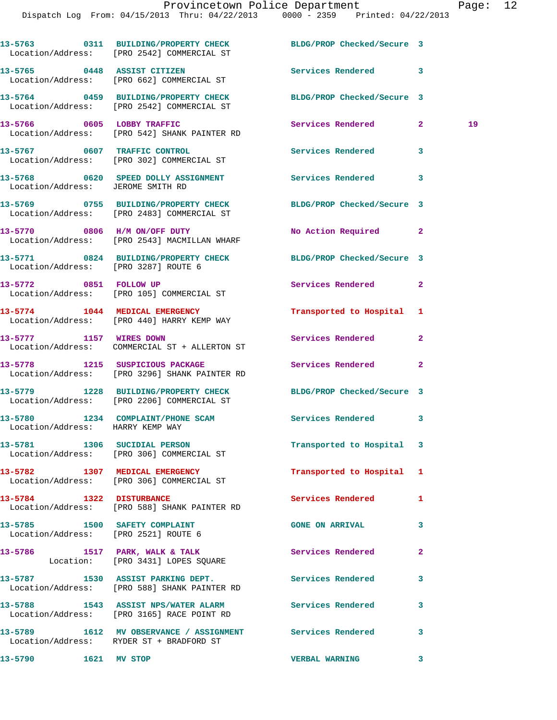|                                                                       | 13-5763 0311 BUILDING/PROPERTY CHECK BLDG/PROP Checked/Secure 3<br>Location/Address: [PRO 2542] COMMERCIAL ST |                           |                    |
|-----------------------------------------------------------------------|---------------------------------------------------------------------------------------------------------------|---------------------------|--------------------|
|                                                                       | 13-5765 0448 ASSIST CITIZEN<br>Location/Address: [PRO 662] COMMERCIAL ST                                      | Services Rendered 3       |                    |
|                                                                       | 13-5764 0459 BUILDING/PROPERTY CHECK BLDG/PROP Checked/Secure 3<br>Location/Address: [PRO 2542] COMMERCIAL ST |                           |                    |
|                                                                       | 13-5766 0605 LOBBY TRAFFIC<br>Location/Address: [PRO 542] SHANK PAINTER RD                                    | Services Rendered         | 19<br>$\mathbf{2}$ |
|                                                                       | 13-5767 0607 TRAFFIC CONTROL<br>Location/Address: [PRO 302] COMMERCIAL ST                                     | Services Rendered 3       |                    |
| Location/Address: JEROME SMITH RD                                     | 13-5768 0620 SPEED DOLLY ASSIGNMENT Services Rendered 3                                                       |                           |                    |
|                                                                       | 13-5769 0755 BUILDING/PROPERTY CHECK BLDG/PROP Checked/Secure 3<br>Location/Address: [PRO 2483] COMMERCIAL ST |                           |                    |
|                                                                       | 13-5770 0806 H/M ON/OFF DUTY<br>Location/Address: [PRO 2543] MACMILLAN WHARF                                  | No Action Required 2      |                    |
| Location/Address: [PRO 3287] ROUTE 6                                  | 13-5771 0824 BUILDING/PROPERTY CHECK BLDG/PROP Checked/Secure 3                                               |                           |                    |
|                                                                       | 13-5772 0851 FOLLOW UP<br>Location/Address: [PRO 105] COMMERCIAL ST                                           | Services Rendered 2       |                    |
|                                                                       | 13-5774 1044 MEDICAL EMERGENCY<br>Location/Address: [PRO 440] HARRY KEMP WAY                                  | Transported to Hospital 1 |                    |
| 13-5777 1157 WIRES DOWN                                               | Location/Address: COMMERCIAL ST + ALLERTON ST                                                                 | Services Rendered         | $\mathbf{2}$       |
|                                                                       | 13-5778 1215 SUSPICIOUS PACKAGE<br>Location/Address: [PRO 3296] SHANK PAINTER RD                              | Services Rendered         | $\overline{2}$     |
|                                                                       | 13-5779 1228 BUILDING/PROPERTY CHECK BLDG/PROP Checked/Secure 3<br>Location/Address: [PRO 2206] COMMERCIAL ST |                           |                    |
| Location/Address: HARRY KEMP WAY                                      | 13-5780 1234 COMPLAINT/PHONE SCAM Services Rendered 3                                                         |                           |                    |
|                                                                       | 13-5781 1306 SUCIDIAL PERSON<br>Location/Address: [PRO 306] COMMERCIAL ST                                     | Transported to Hospital 3 |                    |
|                                                                       | 13-5782 1307 MEDICAL EMERGENCY<br>Location/Address: [PRO 306] COMMERCIAL ST                                   | Transported to Hospital 1 |                    |
| 13-5784 1322 DISTURBANCE                                              | Location/Address: [PRO 588] SHANK PAINTER RD                                                                  | <b>Services Rendered</b>  | 1                  |
| 13-5785 1500 SAFETY COMPLAINT<br>Location/Address: [PRO 2521] ROUTE 6 |                                                                                                               | <b>GONE ON ARRIVAL</b>    | 3                  |
|                                                                       | 13-5786 1517 PARK, WALK & TALK<br>Location: [PRO 3431] LOPES SQUARE                                           | Services Rendered         | $\mathbf{2}$       |
|                                                                       | 13-5787 1530 ASSIST PARKING DEPT. The Services Rendered<br>Location/Address: [PRO 588] SHANK PAINTER RD       |                           | 3                  |
|                                                                       | 13-5788 1543 ASSIST NPS/WATER ALARM Services Rendered<br>Location/Address: [PRO 3165] RACE POINT RD           |                           | 3                  |
|                                                                       | 13-5789 1612 MV OBSERVANCE / ASSIGNMENT Services Rendered<br>Location/Address: RYDER ST + BRADFORD ST         |                           | 3                  |
| 13-5790 1621 MV STOP                                                  |                                                                                                               | <b>VERBAL WARNING</b>     | 3                  |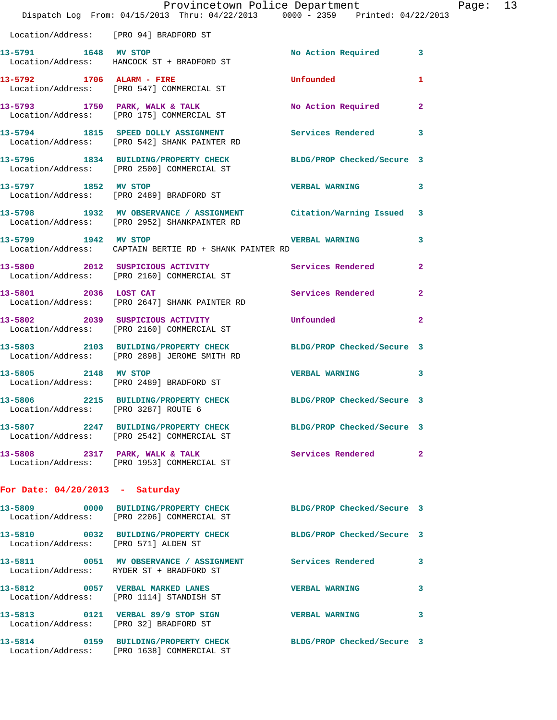|                                                 | Provincetown Police Department<br>Dispatch Log From: 04/15/2013 Thru: 04/22/2013 0000 - 2359 Printed: 04/22/2013                                                       |                       |              | Page: 13 |  |
|-------------------------------------------------|------------------------------------------------------------------------------------------------------------------------------------------------------------------------|-----------------------|--------------|----------|--|
| Location/Address: [PRO 94] BRADFORD ST          |                                                                                                                                                                        |                       |              |          |  |
| 13-5791 1648 MV STOP                            | Location/Address: HANCOCK ST + BRADFORD ST                                                                                                                             | No Action Required 3  |              |          |  |
|                                                 | 13-5792 1706 ALARM - FIRE<br>Location/Address: [PRO 547] COMMERCIAL ST                                                                                                 | Unfounded             | 1            |          |  |
|                                                 | 13-5793 1750 PARK, WALK & TALK 1999 No Action Required 2<br>Location/Address: [PRO 175] COMMERCIAL ST                                                                  |                       |              |          |  |
|                                                 | 13-5794 1815 SPEED DOLLY ASSIGNMENT Services Rendered<br>Location/Address: [PRO 542] SHANK PAINTER RD                                                                  |                       | 3            |          |  |
|                                                 | 13-5796 1834 BUILDING/PROPERTY CHECK BLDG/PROP Checked/Secure 3<br>Location/Address: [PRO 2500] COMMERCIAL ST                                                          |                       |              |          |  |
|                                                 | 13-5797 1852 MV STOP<br>Location/Address: [PRO 2489] BRADFORD ST                                                                                                       | <b>VERBAL WARNING</b> | 3            |          |  |
|                                                 | 13-5798 1932 MV OBSERVANCE / ASSIGNMENT Citation/Warning Issued 3<br>Location/Address: [PRO 2952] SHANKPAINTER RD                                                      |                       |              |          |  |
|                                                 | 13-5799 1942 MV STOP 1999 2001 2002 2004 2010 2021 2031 2040 2051 2062 2071 2082 2094 2004 2010 2021 2022 20<br>Location/Address: CAPTAIN BERTIE RD + SHANK PAINTER RD |                       | 3            |          |  |
|                                                 | 13-5800 2012 SUSPICIOUS ACTIVITY Services Rendered<br>Location/Address: [PRO 2160] COMMERCIAL ST                                                                       |                       | $\mathbf{2}$ |          |  |
|                                                 | 13-5801 2036 LOST CAT<br>Location/Address: [PRO 2647] SHANK PAINTER RD                                                                                                 | Services Rendered     | $\mathbf{2}$ |          |  |
|                                                 | 13-5802 2039 SUSPICIOUS ACTIVITY<br>Location/Address: [PRO 2160] COMMERCIAL ST                                                                                         | Unfounded             | $\mathbf{2}$ |          |  |
|                                                 | 13-5803 2103 BUILDING/PROPERTY CHECK BLDG/PROP Checked/Secure 3<br>Location/Address: [PRO 2898] JEROME SMITH RD                                                        |                       |              |          |  |
| 13-5805 2148 MV STOP                            | Location/Address: [PRO 2489] BRADFORD ST                                                                                                                               | <b>VERBAL WARNING</b> | 3            |          |  |
| 13-5806<br>Location/Address: [PRO 3287] ROUTE 6 | 2215 BUILDING/PROPERTY CHECK BLDG/PROP Checked/Secure 3                                                                                                                |                       |              |          |  |
|                                                 | 13-5807 2247 BUILDING/PROPERTY CHECK BLDG/PROP Checked/Secure 3<br>Location/Address: [PRO 2542] COMMERCIAL ST                                                          |                       |              |          |  |
|                                                 | 13-5808 2317 PARK, WALK & TALK<br>Location/Address: [PRO 1953] COMMERCIAL ST                                                                                           | Services Rendered 2   |              |          |  |
| For Date: $04/20/2013$ - Saturday               |                                                                                                                                                                        |                       |              |          |  |
|                                                 | 13-5809 0000 BUILDING/PROPERTY CHECK BLDG/PROP Checked/Secure 3<br>Location/Address: [PRO 2206] COMMERCIAL ST                                                          |                       |              |          |  |
|                                                 | 13-5810 0032 BUILDING/PROPERTY CHECK BLDG/PROP Checked/Secure 3<br>Location/Address: [PRO 571] ALDEN ST                                                                |                       |              |          |  |
|                                                 | 13-5811 0051 MV OBSERVANCE / ASSIGNMENT Services Rendered 3<br>Location/Address: RYDER ST + BRADFORD ST                                                                |                       |              |          |  |
|                                                 | 13-5812 0057 VERBAL MARKED LANES<br>Location/Address: [PRO 1114] STANDISH ST                                                                                           | <b>VERBAL WARNING</b> | 3            |          |  |
|                                                 | 13-5813 0121 VERBAL 89/9 STOP SIGN<br>Location/Address: [PRO 32] BRADFORD ST                                                                                           | VERBAL WARNING 3      |              |          |  |
|                                                 | 13-5814 0159 BUILDING/PROPERTY CHECK BLDG/PROP Checked/Secure 3<br>Location/Address: [PRO 1638] COMMERCIAL ST                                                          |                       |              |          |  |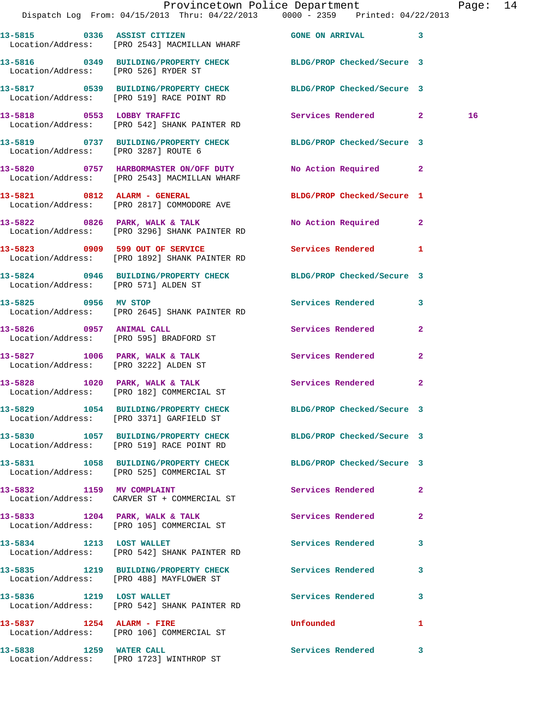|                                      | Provincetown Police Department The Page: 14<br>Dispatch Log From: 04/15/2013 Thru: 04/22/2013 0000 - 2359 Printed: 04/22/2013 |                            |                |    |  |
|--------------------------------------|-------------------------------------------------------------------------------------------------------------------------------|----------------------------|----------------|----|--|
|                                      | 13-5815 0336 ASSIST CITIZEN GONE ON ARRIVAL 3<br>Location/Address: [PRO 2543] MACMILLAN WHARF                                 |                            |                |    |  |
| Location/Address: [PRO 526] RYDER ST | 13-5816 0349 BUILDING/PROPERTY CHECK BLDG/PROP Checked/Secure 3                                                               |                            |                |    |  |
|                                      | 13-5817 0539 BUILDING/PROPERTY CHECK BLDG/PROP Checked/Secure 3<br>Location/Address: [PRO 519] RACE POINT RD                  |                            |                |    |  |
|                                      | 13-5818 0553 LOBBY TRAFFIC<br>Location/Address: [PRO 542] SHANK PAINTER RD                                                    | Services Rendered 2        |                | 16 |  |
|                                      | 13-5819 0737 BUILDING/PROPERTY CHECK BLDG/PROP Checked/Secure 3<br>Location/Address: [PRO 3287] ROUTE 6                       |                            |                |    |  |
|                                      | 13-5820 0757 HARBORMASTER ON/OFF DUTY No Action Required 2<br>Location/Address: [PRO 2543] MACMILLAN WHARF                    |                            |                |    |  |
|                                      | 13-5821 0812 ALARM - GENERAL<br>Location/Address: [PRO 2817] COMMODORE AVE                                                    | BLDG/PROP Checked/Secure 1 |                |    |  |
|                                      | 13-5822 0826 PARK, WALK & TALK<br>Location/Address: [PRO 3296] SHANK PAINTER RD                                               | No Action Required 2       |                |    |  |
|                                      | 13-5823 0909 599 OUT OF SERVICE<br>Location/Address: [PRO 1892] SHANK PAINTER RD                                              | Services Rendered 1        |                |    |  |
| Location/Address: [PRO 571] ALDEN ST | 13-5824 0946 BUILDING/PROPERTY CHECK BLDG/PROP Checked/Secure 3                                                               |                            |                |    |  |
| 13-5825 0956 MV STOP                 | Location/Address: [PRO 2645] SHANK PAINTER RD                                                                                 | Services Rendered 3        |                |    |  |
|                                      | 13-5826 0957 ANIMAL CALL<br>Location/Address: [PRO 595] BRADFORD ST                                                           | Services Rendered          | $\mathbf{2}$   |    |  |
|                                      | 13-5827 1006 PARK, WALK & TALK 1999 Services Rendered<br>Location/Address: [PRO 3222] ALDEN ST                                |                            | $\mathbf{2}$   |    |  |
|                                      | 13-5828 1020 PARK, WALK & TALK<br>Location/Address: [PRO 182] COMMERCIAL ST                                                   | Services Rendered          | $\mathbf{2}$   |    |  |
|                                      | 13-5829 1054 BUILDING/PROPERTY CHECK<br>Location/Address: [PRO 3371] GARFIELD ST                                              | BLDG/PROP Checked/Secure 3 |                |    |  |
|                                      | 13-5830 1057 BUILDING/PROPERTY CHECK BLDG/PROP Checked/Secure 3<br>Location/Address: [PRO 519] RACE POINT RD                  |                            |                |    |  |
|                                      | 13-5831 1058 BUILDING/PROPERTY CHECK<br>Location/Address: [PRO 525] COMMERCIAL ST                                             | BLDG/PROP Checked/Secure 3 |                |    |  |
|                                      | 13-5832 1159 MV COMPLAINT<br>Location/Address: CARVER ST + COMMERCIAL ST                                                      | Services Rendered          | $\overline{2}$ |    |  |
|                                      | 13-5833 1204 PARK, WALK & TALK<br>Location/Address: [PRO 105] COMMERCIAL ST                                                   | <b>Services Rendered</b>   | $\mathbf{2}$   |    |  |
|                                      | 13-5834 1213 LOST WALLET<br>Location/Address: [PRO 542] SHANK PAINTER RD                                                      | Services Rendered          | 3              |    |  |
|                                      | 13-5835 1219 BUILDING/PROPERTY CHECK Services Rendered<br>Location/Address: [PRO 488] MAYFLOWER ST                            |                            | 3              |    |  |
|                                      | 13-5836 1219 LOST WALLET<br>Location/Address: [PRO 542] SHANK PAINTER RD                                                      | Services Rendered          | 3              |    |  |
| 13-5837 1254 ALARM - FIRE            | Location/Address: [PRO 106] COMMERCIAL ST                                                                                     | <b>Unfounded</b>           | 1              |    |  |
|                                      | 13-5838 1259 WATER CALL<br>Location/Address: [PRO 1723] WINTHROP ST                                                           | Services Rendered          | 3              |    |  |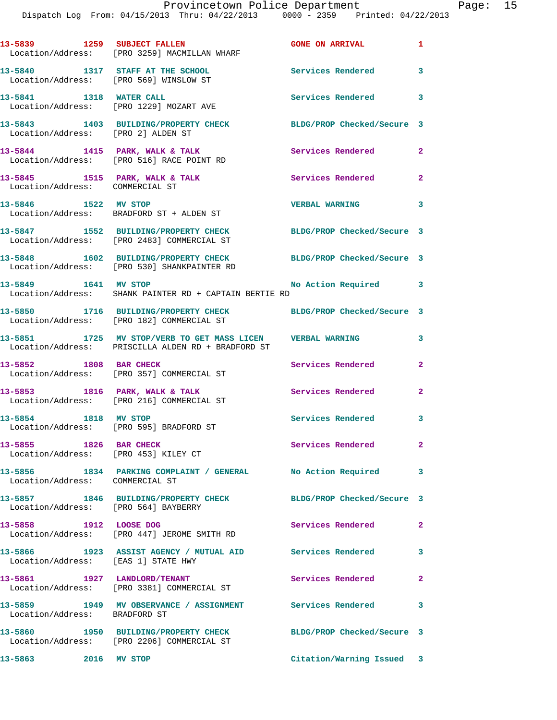|                                                                   | 13-5839 1259 SUBJECT FALLEN<br>Location/Address: [PRO 3259] MACMILLAN WHARF                                      | GONE ON ARRIVAL 1          |                |
|-------------------------------------------------------------------|------------------------------------------------------------------------------------------------------------------|----------------------------|----------------|
|                                                                   | 13-5840 1317 STAFF AT THE SCHOOL<br>Location/Address: [PRO 569] WINSLOW ST                                       | Services Rendered          | 3              |
|                                                                   | 13-5841 1318 WATER CALL<br>Location/Address: [PRO 1229] MOZART AVE                                               | Services Rendered          | 3              |
| Location/Address: [PRO 2] ALDEN ST                                | 13-5843 1403 BUILDING/PROPERTY CHECK                                                                             | BLDG/PROP Checked/Secure 3 |                |
|                                                                   | 13-5844 1415 PARK, WALK & TALK<br>Location/Address: [PRO 516] RACE POINT RD                                      | Services Rendered          | $\mathbf{2}$   |
| 13-5845 1515 PARK, WALK & TALK<br>Location/Address: COMMERCIAL ST |                                                                                                                  | Services Rendered 2        |                |
|                                                                   | 13-5846 1522 MV STOP                                                                                             | <b>VERBAL WARNING</b>      | 3              |
|                                                                   | Location/Address: BRADFORD ST + ALDEN ST<br>13-5847 1552 BUILDING/PROPERTY CHECK                                 | BLDG/PROP Checked/Secure 3 |                |
|                                                                   | Location/Address: [PRO 2483] COMMERCIAL ST<br>13-5848 1602 BUILDING/PROPERTY CHECK BLDG/PROP Checked/Secure 3    |                            |                |
| 13-5849 1641 MV STOP                                              | Location/Address: [PRO 530] SHANKPAINTER RD                                                                      | No Action Required 3       |                |
|                                                                   | Location/Address: SHANK PAINTER RD + CAPTAIN BERTIE RD                                                           |                            |                |
|                                                                   | 13-5850 1716 BUILDING/PROPERTY CHECK BLDG/PROP Checked/Secure 3<br>Location/Address: [PRO 182] COMMERCIAL ST     |                            |                |
|                                                                   | 13-5851 1725 MV STOP/VERB TO GET MASS LICEN VERBAL WARNING<br>Location/Address: PRISCILLA ALDEN RD + BRADFORD ST |                            | 3              |
| 13-5852 1808 BAR CHECK                                            | Location/Address: [PRO 357] COMMERCIAL ST                                                                        | Services Rendered          | $\overline{2}$ |
|                                                                   | 13-5853 1816 PARK, WALK & TALK<br>Location/Address: [PRO 216] COMMERCIAL ST                                      | Services Rendered          | $\overline{2}$ |
| 13-5854 1818 MV STOP                                              | Location/Address: [PRO 595] BRADFORD ST                                                                          | Services Rendered 3        |                |
| 13-5855 1826 BAR CHECK<br>Location/Address: [PRO 453] KILEY CT    |                                                                                                                  | Services Rendered          | $\mathbf{2}$   |
| Location/Address: COMMERCIAL ST                                   | 13-5856 1834 PARKING COMPLAINT / GENERAL No Action Required                                                      |                            | 3              |
|                                                                   | 13-5857 1846 BUILDING/PROPERTY CHECK                                                                             | BLDG/PROP Checked/Secure 3 |                |
| Location/Address: [PRO 564] BAYBERRY<br>13-5858 1912 LOOSE DOG    |                                                                                                                  | Services Rendered          | $\mathbf{2}$   |
|                                                                   | Location/Address: [PRO 447] JEROME SMITH RD                                                                      |                            |                |
| Location/Address: [EAS 1] STATE HWY                               | 13-5866 1923 ASSIST AGENCY / MUTUAL AID Services Rendered                                                        |                            | 3              |
|                                                                   | 13-5861 1927 LANDLORD/TENANT<br>Location/Address: [PRO 3381] COMMERCIAL ST                                       | Services Rendered          | $\overline{2}$ |
| Location/Address: BRADFORD ST                                     | 13-5859 1949 MV OBSERVANCE / ASSIGNMENT Services Rendered                                                        |                            | 3              |
|                                                                   | 13-5860 1950 BUILDING/PROPERTY CHECK<br>Location/Address: [PRO 2206] COMMERCIAL ST                               | BLDG/PROP Checked/Secure 3 |                |
| 13-5863 2016 MV STOP                                              |                                                                                                                  | Citation/Warning Issued 3  |                |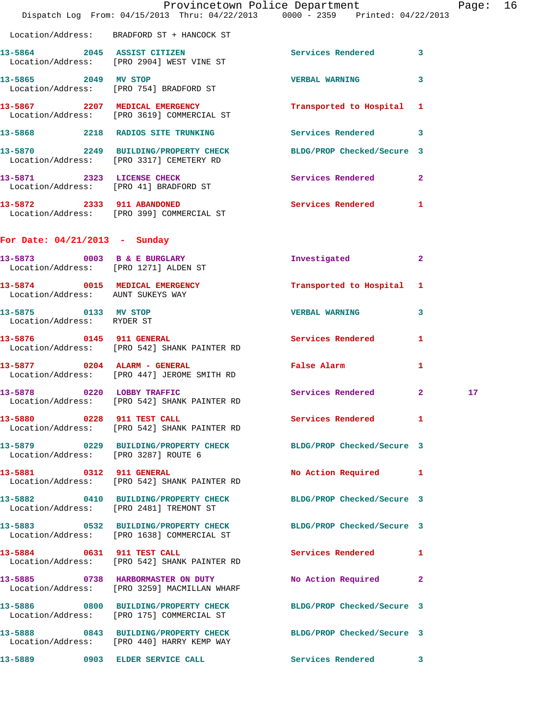|                                                    | Provincetown Police Department<br>Dispatch Log From: 04/15/2013 Thru: 04/22/2013 0000 - 2359 Printed: 04/22/2013 |                              |              | Page: 16 |  |
|----------------------------------------------------|------------------------------------------------------------------------------------------------------------------|------------------------------|--------------|----------|--|
|                                                    | Location/Address: BRADFORD ST + HANCOCK ST                                                                       |                              |              |          |  |
|                                                    | 13-5864 2045 ASSIST CITIZEN<br>Location/Address: [PRO 2904] WEST VINE ST                                         | Services Rendered 3          |              |          |  |
|                                                    | 13-5865 2049 MV STOP<br>Location/Address: [PRO 754] BRADFORD ST                                                  | <b>VERBAL WARNING</b>        | $\mathbf{3}$ |          |  |
|                                                    | 13-5867 2207 MEDICAL EMERGENCY<br>Location/Address: [PRO 3619] COMMERCIAL ST                                     | Transported to Hospital 1    |              |          |  |
|                                                    | 13-5868 2218 RADIOS SITE TRUNKING                                                                                | Services Rendered 3          |              |          |  |
|                                                    | 13-5870 2249 BUILDING/PROPERTY CHECK<br>Location/Address: [PRO 3317] CEMETERY RD                                 | BLDG/PROP Checked/Secure 3   |              |          |  |
|                                                    | 13-5871 2323 LICENSE CHECK<br>Location/Address: [PRO 41] BRADFORD ST                                             | Services Rendered 2          |              |          |  |
|                                                    | 13-5872 2333 911 ABANDONED<br>Location/Address: [PRO 399] COMMERCIAL ST                                          | Services Rendered 1          |              |          |  |
| For Date: $04/21/2013$ - Sunday                    |                                                                                                                  |                              |              |          |  |
|                                                    | 13-5873 0003 B & E BURGLARY<br>Location/Address: [PRO 1271] ALDEN ST                                             | Investigated                 | $\mathbf{2}$ |          |  |
| Location/Address: AUNT SUKEYS WAY                  | 13-5874 0015 MEDICAL EMERGENCY                                                                                   | Transported to Hospital 1    |              |          |  |
| 13-5875 0133 MV STOP<br>Location/Address: RYDER ST |                                                                                                                  | <b>VERBAL WARNING</b>        | 3            |          |  |
|                                                    | 13-5876 0145 911 GENERAL<br>Location/Address: [PRO 542] SHANK PAINTER RD                                         | Services Rendered            | 1            |          |  |
|                                                    | 13-5877 0204 ALARM - GENERAL<br>Location/Address: [PRO 447] JEROME SMITH RD                                      | False Alarm <b>Example 2</b> | $\mathbf{1}$ |          |  |
|                                                    | 13-5878 0220 LOBBY TRAFFIC<br>Location/Address: [PRO 542] SHANK PAINTER RD                                       | Services Rendered 2          |              | $17 \,$  |  |
|                                                    | 13-5880 0228 911 TEST CALL<br>Location/Address: [PRO 542] SHANK PAINTER RD                                       | Services Rendered 1          |              |          |  |
| Location/Address: [PRO 3287] ROUTE 6               | 13-5879 0229 BUILDING/PROPERTY CHECK BLDG/PROP Checked/Secure 3                                                  |                              |              |          |  |
|                                                    | 13-5881 0312 911 GENERAL<br>Location/Address: [PRO 542] SHANK PAINTER RD                                         | No Action Required 1         |              |          |  |
|                                                    | 13-5882 0410 BUILDING/PROPERTY CHECK BLDG/PROP Checked/Secure 3<br>Location/Address: [PRO 2481] TREMONT ST       |                              |              |          |  |
|                                                    | 13-5883 0532 BUILDING/PROPERTY CHECK BLDG/PROP Checked/Secure 3<br>Location/Address: [PRO 1638] COMMERCIAL ST    |                              |              |          |  |
|                                                    | 13-5884 0631 911 TEST CALL<br>Location/Address: [PRO 542] SHANK PAINTER RD                                       | Services Rendered 1          |              |          |  |
|                                                    | 13-5885 0738 HARBORMASTER ON DUTY<br>Location/Address: [PRO 3259] MACMILLAN WHARF                                | No Action Required 2         |              |          |  |
|                                                    | 13-5886 0800 BUILDING/PROPERTY CHECK BLDG/PROP Checked/Secure 3<br>Location/Address: [PRO 175] COMMERCIAL ST     |                              |              |          |  |
|                                                    | 13-5888 0843 BUILDING/PROPERTY CHECK BLDG/PROP Checked/Secure 3<br>Location/Address: [PRO 440] HARRY KEMP WAY    |                              |              |          |  |
|                                                    | 13-5889 0903 ELDER SERVICE CALL Services Rendered 3                                                              |                              |              |          |  |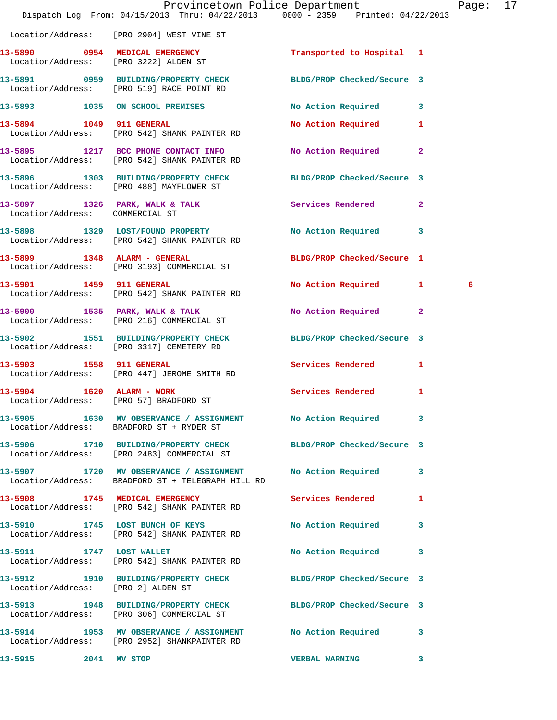|                                    | Provincetown Police Department<br>Dispatch Log From: 04/15/2013 Thru: 04/22/2013 0000 - 2359 Printed: 04/22/2013 |                            |   | Page: 17 |  |
|------------------------------------|------------------------------------------------------------------------------------------------------------------|----------------------------|---|----------|--|
|                                    | Location/Address: [PRO 2904] WEST VINE ST                                                                        |                            |   |          |  |
|                                    | 13-5890 0954 MEDICAL EMERGENCY TRINSPORTED to Hospital 1<br>Location/Address: [PRO 3222] ALDEN ST                |                            |   |          |  |
|                                    | 13-5891 0959 BUILDING/PROPERTY CHECK BLDG/PROP Checked/Secure 3<br>Location/Address: [PRO 519] RACE POINT RD     |                            |   |          |  |
|                                    | 13-5893 1035 ON SCHOOL PREMISES                                                                                  | No Action Required 3       |   |          |  |
|                                    | 13-5894 1049 911 GENERAL<br>Location/Address: [PRO 542] SHANK PAINTER RD                                         | No Action Required 1       |   |          |  |
|                                    | 13-5895 1217 BCC PHONE CONTACT INFO<br>Location/Address: [PRO 542] SHANK PAINTER RD                              | No Action Required 2       |   |          |  |
|                                    | 13-5896 1303 BUILDING/PROPERTY CHECK BLDG/PROP Checked/Secure 3<br>Location/Address: [PRO 488] MAYFLOWER ST      |                            |   |          |  |
| Location/Address: COMMERCIAL ST    | 13-5897 1326 PARK, WALK & TALK 1988 Services Rendered 2                                                          |                            |   |          |  |
|                                    | 13-5898 1329 LOST/FOUND PROPERTY<br>Location/Address: [PRO 542] SHANK PAINTER RD                                 | No Action Required 3       |   |          |  |
|                                    | 13-5899 1348 ALARM - GENERAL<br>Location/Address: [PRO 3193] COMMERCIAL ST                                       | BLDG/PROP Checked/Secure 1 |   |          |  |
| 13-5901 1459 911 GENERAL           | Location/Address: [PRO 542] SHANK PAINTER RD                                                                     | No Action Required 1       |   | 6        |  |
|                                    | 13-5900 1535 PARK, WALK & TALK<br>Location/Address: [PRO 216] COMMERCIAL ST                                      | No Action Required 2       |   |          |  |
|                                    | 13-5902 1551 BUILDING/PROPERTY CHECK BLDG/PROP Checked/Secure 3<br>Location/Address: [PRO 3317] CEMETERY RD      |                            |   |          |  |
|                                    | 13-5903 1558 911 GENERAL<br>Location/Address: [PRO 447] JEROME SMITH RD                                          | Services Rendered 1        |   |          |  |
| 13-5904 1620 ALARM - WORK          | Location/Address: [PRO 57] BRADFORD ST                                                                           | <b>Services Rendered</b>   | 1 |          |  |
|                                    | 13-5905 1630 MV OBSERVANCE / ASSIGNMENT No Action Required<br>Location/Address: BRADFORD ST + RYDER ST           |                            | 3 |          |  |
|                                    | 13-5906 1710 BUILDING/PROPERTY CHECK BLDG/PROP Checked/Secure 3<br>Location/Address: [PRO 2483] COMMERCIAL ST    |                            |   |          |  |
|                                    | 13-5907 1720 MV OBSERVANCE / ASSIGNMENT No Action Required<br>Location/Address: BRADFORD ST + TELEGRAPH HILL RD  |                            | 3 |          |  |
|                                    | 13-5908 1745 MEDICAL EMERGENCY<br>Location/Address: [PRO 542] SHANK PAINTER RD                                   | <b>Services Rendered</b>   | 1 |          |  |
|                                    | 13-5910 1745 LOST BUNCH OF KEYS<br>Location/Address: [PRO 542] SHANK PAINTER RD                                  | No Action Required         | 3 |          |  |
| 13-5911 1747 LOST WALLET           | Location/Address: [PRO 542] SHANK PAINTER RD                                                                     | No Action Required         | 3 |          |  |
| Location/Address: [PRO 2] ALDEN ST | 13-5912 1910 BUILDING/PROPERTY CHECK                                                                             | BLDG/PROP Checked/Secure 3 |   |          |  |
|                                    | 13-5913 1948 BUILDING/PROPERTY CHECK BLDG/PROP Checked/Secure 3<br>Location/Address: [PRO 306] COMMERCIAL ST     |                            |   |          |  |
|                                    | 13-5914 1953 MV OBSERVANCE / ASSIGNMENT<br>Location/Address: [PRO 2952] SHANKPAINTER RD                          | No Action Required 3       |   |          |  |
| 13-5915 2041 MV STOP               |                                                                                                                  | <b>VERBAL WARNING</b>      | 3 |          |  |